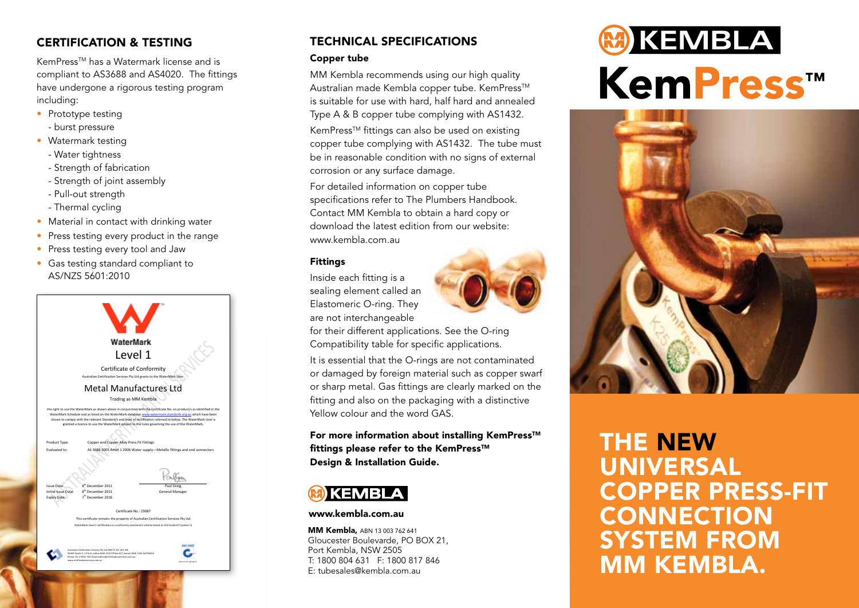### CERTIFICATION & TESTING

KemPressTM has a Watermark license and is compliant to AS3688 and AS4020. The fittings have undergone a rigorous testing program including:

- Prototype testing
	- burst pressure
- Watermark testing
	- Water tightness
	- Strength of fabrication
	- Strength of joint assembly
	- Pull-out strength
	- Thermal cycling
- Material in contact with drinking water
- Press testing every product in the range
- Press testing every tool and Jaw
- • Gas testing standard compliant to AS/NZS 5601:2010



## TECHNICAL SPECIFICATIONS

#### Copper tube

MM Kembla recommends using our high quality Australian made Kembla copper tube. KemPress<sup>™</sup> is suitable for use with hard, half hard and annealed Type A & B copper tube complying with AS1432.

KemPress<sup>™</sup> fittings can also be used on existing copper tube complying with AS1432. The tube must be in reasonable condition with no signs of external corrosion or any surface damage.

For detailed information on copper tube specifications refer to The Plumbers Handbook. Contact MM Kembla to obtain a hard copy or download the latest edition from our website: www.kembla.com.au

### Fittings

Inside each fitting is a sealing element called an Elastomeric O-ring. They are not interchangeable



for their different applications. See the O-ring Compatibility table for specific applications.

It is essential that the O-rings are not contaminated or damaged by foreign material such as copper swarf or sharp metal. Gas fittings are clearly marked on the fitting and also on the packaging with a distinctive Yellow colour and the word GAS.

For more information about installing KemPress™ fittings please refer to the KemPress™ Design & Installation Guide.



#### www.kembla.com.au

**MM Kembla, ABN 13 003 762 641** Gloucester Boulevarde, PO BOX 21, Port Kembla, NSW 2505 T: 1800 804 631 F: 1800 817 846 E: tubesales@kembla.com.au

# **M** KEMBLA **KemPress™**



# THE NEW UNIVERSAL COPPER PRESS-FIT **CONNECTION** SYSTEM FROM MM KEMBLA.